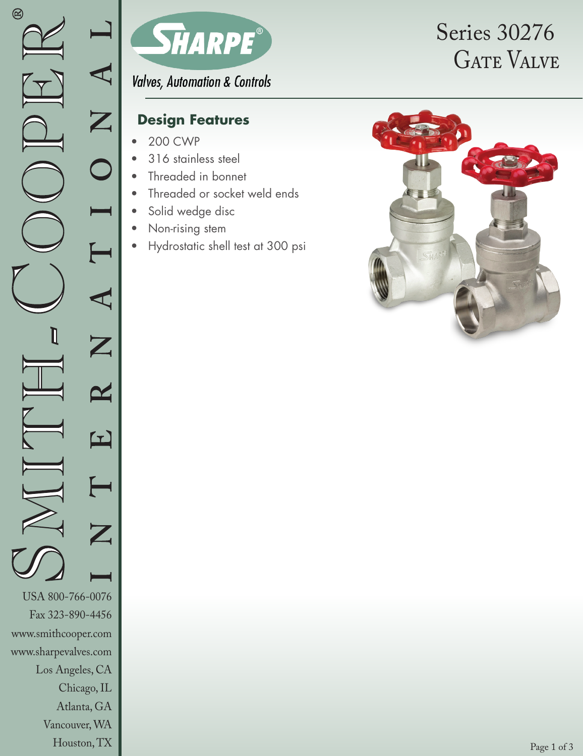

**Valves, Automation & Controls** 

## **Design Features**

- 200 CWP
- 316 stainless steel
- Threaded in bonnet
- Threaded or socket weld ends
- Solid wedge disc
- Non-rising stem
- Hydrostatic shell test at 300 psi

# **GATE VALVE** Series 30276

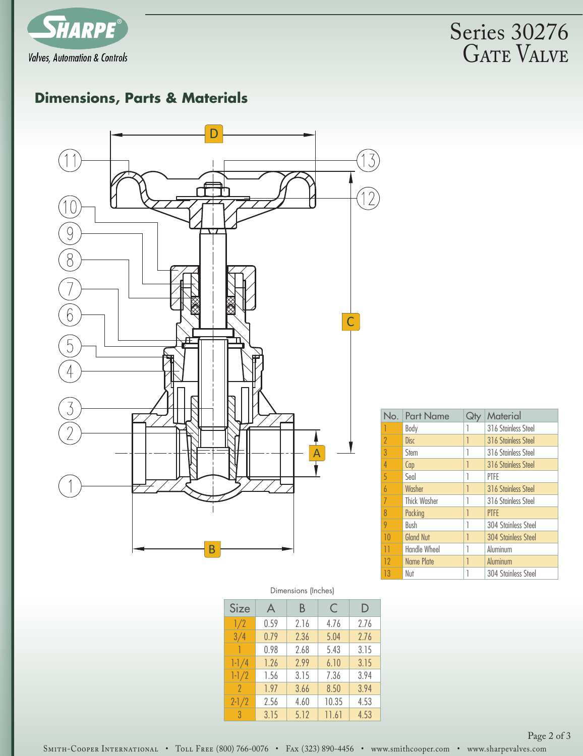

**GATE VALVE** Series 30276

# **Dimensions, Parts & Materials**



| No. | <b>Part Name</b>    |   | Material                   |
|-----|---------------------|---|----------------------------|
|     | Body                |   | 316 Stainless Steel        |
| 2   | Disc                | 1 | 316 Stainless Steel        |
| 3   | Stem                |   | 316 Stainless Steel        |
| 4   | Cap                 | 1 | 316 Stainless Steel        |
| 5   | Seal                | 1 | PTFE                       |
| 6   | Washer              | 1 | 316 Stainless Steel        |
|     | <b>Thick Washer</b> |   | 316 Stainless Steel        |
| 8   | Packing             | 1 | <b>PTFE</b>                |
| 9   | Bush                | 1 | 304 Stainless Steel        |
| 10  | <b>Gland Nut</b>    |   | <b>304 Stainless Steel</b> |
| Н   | Handle Wheel        |   | Aluminum                   |
| 12  | <b>Name Plate</b>   |   | Aluminum                   |
| 13  | Nut                 |   | 304 Stainless Steel        |

#### Dimensions (Inches)

| Size          | A    | Β    | C     | D    |
|---------------|------|------|-------|------|
| 1/2           | 0.59 | 2.16 | 4.76  | 2.76 |
| 3/4           | 0.79 | 2.36 | 5.04  | 2.76 |
| ı             | 0.98 | 2.68 | 5.43  | 3.15 |
| $1 - 1/4$     | 1.26 | 2.99 | 6.10  | 3.15 |
| $1 - 1/2$     | 1.56 | 3.15 | 7.36  | 3.94 |
| 2             | 1.97 | 3.66 | 8.50  | 3.94 |
| $2 - 1/2$     | 2.56 | 4.60 | 10.35 | 4.53 |
| $\mathcal{S}$ | 3.15 | 5.12 | 11.61 | 4.53 |

Page 2 of 3

SMITH-COOPER INTERNATIONAL • TOLL FREE (800) 766-0076 • FAx (323) 890-4456 • www.smithcooper.com • www.sharpevalves.com